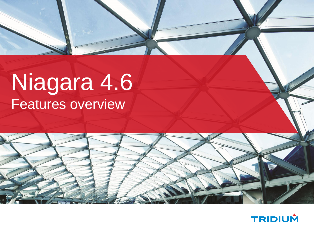# Niagara 4.6 Features overview



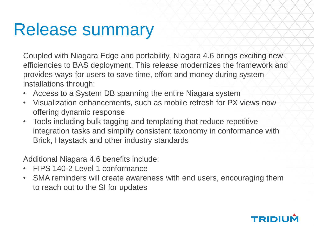#### Release summary

Coupled with Niagara Edge and portability, Niagara 4.6 brings exciting new efficiencies to BAS deployment. This release modernizes the framework and provides ways for users to save time, effort and money during system installations through:

- Access to a System DB spanning the entire Niagara system
- Visualization enhancements, such as mobile refresh for PX views now offering dynamic response
- Tools including bulk tagging and templating that reduce repetitive integration tasks and simplify consistent taxonomy in conformance with Brick, Haystack and other industry standards

Additional Niagara 4.6 benefits include:

- FIPS 140-2 Level 1 conformance
- SMA reminders will create awareness with end users, encouraging them to reach out to the SI for updates

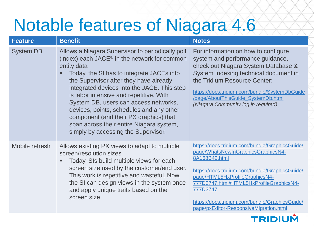### Notable features of Niagara 4.6

| <b>Feature</b>   | <b>Benefit</b>                                                                                                                                                                                                                                                                                                                                                                                                                                                                                                                 | <b>Notes</b>                                                                                                                                                                                                                                                                                                                                 |
|------------------|--------------------------------------------------------------------------------------------------------------------------------------------------------------------------------------------------------------------------------------------------------------------------------------------------------------------------------------------------------------------------------------------------------------------------------------------------------------------------------------------------------------------------------|----------------------------------------------------------------------------------------------------------------------------------------------------------------------------------------------------------------------------------------------------------------------------------------------------------------------------------------------|
| <b>System DB</b> | Allows a Niagara Supervisor to periodically poll<br>(index) each JACE <sup>®</sup> in the network for common<br>entity data<br>Today, the SI has to integrate JACEs into<br>the Supervisor after they have already<br>integrated devices into the JACE. This step<br>is labor intensive and repetitive. With<br>System DB, users can access networks,<br>devices, points, schedules and any other<br>component (and their PX graphics) that<br>span across their entire Niagara system,<br>simply by accessing the Supervisor. | For information on how to configure<br>system and performance guidance,<br>check out Niagara System Database &<br>System Indexing technical document in<br>the Tridium Resource Center:<br>https://docs.tridium.com/bundle/SystemDbGuide<br>/page/AboutThisGuide_SystemDb.html<br>(Niagara Community log in required)                        |
| Mobile refresh   | Allows existing PX views to adapt to multiple<br>screen/resolution sizes<br>Today, SIs build multiple views for each<br>screen size used by the customer/end user.<br>This work is repetitive and wasteful. Now,<br>the SI can design views in the system once<br>and apply unique traits based on the<br>screen size.                                                                                                                                                                                                         | https://docs.tridium.com/bundle/GraphicsGuide/<br>page/WhatsNewInGraphicsGraphicsN4-<br>8A168B42.html<br>https://docs.tridium.com/bundle/GraphicsGuide/<br>page/HTML5HxProfileGraphicsN4-<br>777D3747.html#HTML5HxProfileGraphicsN4-<br>777D3747<br>https://docs.tridium.com/bundle/GraphicsGuide/<br>page/pxEditor-ResponsiveMigration.html |

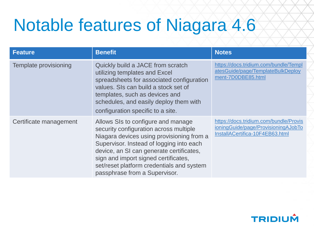### Notable features of Niagara 4.6

| <b>Feature</b>               | <b>Benefit</b>                                                                                                                                                                                                                                                                                                                          | <b>Notes</b>                                                                                                     |
|------------------------------|-----------------------------------------------------------------------------------------------------------------------------------------------------------------------------------------------------------------------------------------------------------------------------------------------------------------------------------------|------------------------------------------------------------------------------------------------------------------|
| <b>Template provisioning</b> | Quickly build a JACE from scratch<br>utilizing templates and Excel<br>spreadsheets for associated configuration<br>values. SIs can build a stock set of<br>templates, such as devices and<br>schedules, and easily deploy them with<br>configuration specific to a site.                                                                | https://docs.tridium.com/bundle/Templ<br>atesGuide/page/TemplateBulkDeploy<br>ment-7D0DBE85.html                 |
| Certificate management       | Allows SIs to configure and manage<br>security configuration across multiple<br>Niagara devices using provisioning from a<br>Supervisor. Instead of logging into each<br>device, an SI can generate certificates,<br>sign and import signed certificates,<br>set/reset platform credentials and system<br>passphrase from a Supervisor. | https://docs.tridium.com/bundle/Provis<br>ioningGuide/page/ProvisioningAJobTo<br>InstallACertifica-10F4EB63.html |

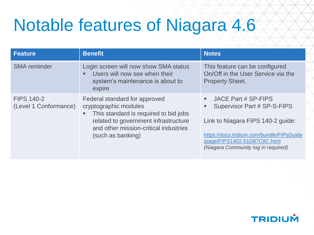## Notable features of Niagara 4.6

| <b>Feature</b>                             | <b>Benefit</b>                                                                                                                                                                                        | <b>Notes</b>                                                                                                                                                                                                      |
|--------------------------------------------|-------------------------------------------------------------------------------------------------------------------------------------------------------------------------------------------------------|-------------------------------------------------------------------------------------------------------------------------------------------------------------------------------------------------------------------|
| <b>SMA</b> reminder                        | Login screen will now show SMA status<br>Users will now see when their<br>system's maintenance is about to<br>expire                                                                                  | This feature can be configured<br>On/Off in the User Service via the<br><b>Property Sheet.</b>                                                                                                                    |
| <b>FIPS 140-2</b><br>(Level 1 Conformance) | Federal standard for approved<br>cryptographic modules<br>This standard is required to bid jobs<br>related to government infrastructure<br>and other mission-critical industries<br>(such as banking) | JACE Part # SP-FIPS<br>ш.<br>Supervisor Part # SP-S-FIPS<br>Link to Niagara FIPS 140-2 guide:<br>https://docs.tridium.com/bundle/FIPsGuide<br>/page/FIPS1402-51D87C8C.html<br>(Niagara Community log in required) |